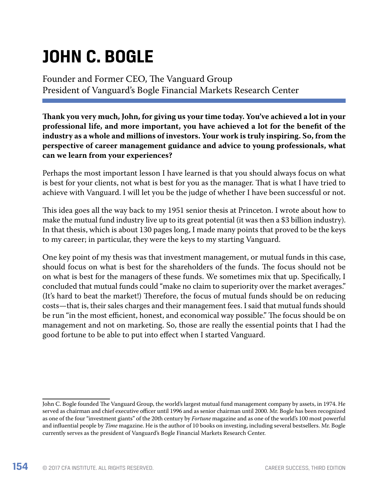# **JOHN C. BOGLE**

Founder and Former CEO, The Vanguard Group President of Vanguard's Bogle Financial Markets Research Center

**Thank you very much, John, for giving us your time today. You've achieved a lot in your professional life, and more important, you have achieved a lot for the benefit of the industry as a whole and millions of investors. Your work is truly inspiring. So, from the perspective of career management guidance and advice to young professionals, what can we learn from your experiences?**

Perhaps the most important lesson I have learned is that you should always focus on what is best for your clients, not what is best for you as the manager. That is what I have tried to achieve with Vanguard. I will let you be the judge of whether I have been successful or not.

This idea goes all the way back to my 1951 senior thesis at Princeton. I wrote about how to make the mutual fund industry live up to its great potential (it was then a \$3 billion industry). In that thesis, which is about 130 pages long, I made many points that proved to be the keys to my career; in particular, they were the keys to my starting Vanguard.

One key point of my thesis was that investment management, or mutual funds in this case, should focus on what is best for the shareholders of the funds. The focus should not be on what is best for the managers of these funds. We sometimes mix that up. Specifically, I concluded that mutual funds could "make no claim to superiority over the market averages." (It's hard to beat the market!) Therefore, the focus of mutual funds should be on reducing costs—that is, their sales charges and their management fees. I said that mutual funds should be run "in the most efficient, honest, and economical way possible." The focus should be on management and not on marketing. So, those are really the essential points that I had the good fortune to be able to put into effect when I started Vanguard.

John C. Bogle founded The Vanguard Group, the world's largest mutual fund management company by assets, in 1974. He served as chairman and chief executive officer until 1996 and as senior chairman until 2000. Mr. Bogle has been recognized as one of the four "investment giants" of the 20th century by *Fortune* magazine and as one of the world's 100 most powerful and influential people by *Time* magazine. He is the author of 10 books on investing, including several bestsellers. Mr. Bogle currently serves as the president of Vanguard's Bogle Financial Markets Research Center.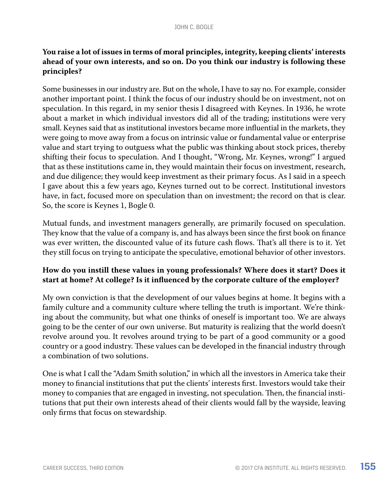## **You raise a lot of issues in terms of moral principles, integrity, keeping clients' interests ahead of your own interests, and so on. Do you think our industry is following these principles?**

Some businesses in our industry are. But on the whole, I have to say no. For example, consider another important point. I think the focus of our industry should be on investment, not on speculation. In this regard, in my senior thesis I disagreed with Keynes. In 1936, he wrote about a market in which individual investors did all of the trading; institutions were very small. Keynes said that as institutional investors became more influential in the markets, they were going to move away from a focus on intrinsic value or fundamental value or enterprise value and start trying to outguess what the public was thinking about stock prices, thereby shifting their focus to speculation. And I thought, "Wrong, Mr. Keynes, wrong!" I argued that as these institutions came in, they would maintain their focus on investment, research, and due diligence; they would keep investment as their primary focus. As I said in a speech I gave about this a few years ago, Keynes turned out to be correct. Institutional investors have, in fact, focused more on speculation than on investment; the record on that is clear. So, the score is Keynes 1, Bogle 0.

Mutual funds, and investment managers generally, are primarily focused on speculation. They know that the value of a company is, and has always been since the first book on finance was ever written, the discounted value of its future cash flows. That's all there is to it. Yet they still focus on trying to anticipate the speculative, emotional behavior of other investors.

## **How do you instill these values in young professionals? Where does it start? Does it start at home? At college? Is it influenced by the corporate culture of the employer?**

My own conviction is that the development of our values begins at home. It begins with a family culture and a community culture where telling the truth is important. We're thinking about the community, but what one thinks of oneself is important too. We are always going to be the center of our own universe. But maturity is realizing that the world doesn't revolve around you. It revolves around trying to be part of a good community or a good country or a good industry. These values can be developed in the financial industry through a combination of two solutions.

One is what I call the "Adam Smith solution," in which all the investors in America take their money to financial institutions that put the clients' interests first. Investors would take their money to companies that are engaged in investing, not speculation. Then, the financial institutions that put their own interests ahead of their clients would fall by the wayside, leaving only firms that focus on stewardship.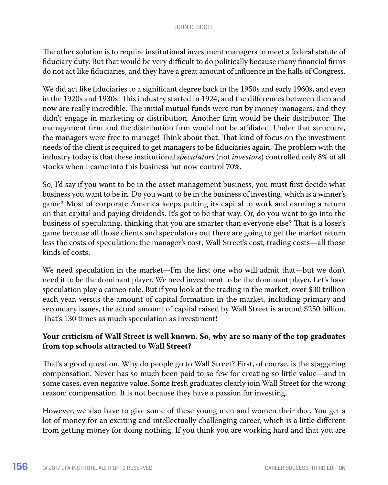The other solution is to require institutional investment managers to meet a federal statute of fiduciary duty. But that would be very difficult to do politically because many financial firms do not act like fiduciaries, and they have a great amount of influence in the halls of Congress.

We did act like fiduciaries to a significant degree back in the 1950s and early 1960s, and even in the 1920s and 1930s. This industry started in 1924, and the differences between then and now are really incredible. The initial mutual funds were run by money managers, and they didn't engage in marketing or distribution. Another firm would be their distributor. The management firm and the distribution firm would not be affiliated. Under that structure, the managers were free to manage! Think about that. That kind of focus on the investment needs of the client is required to get managers to be fiduciaries again. The problem with the industry today is that these institutional *speculators* (not *investors*) controlled only 8% of all stocks when I came into this business but now control 70%.

So, I'd say if you want to be in the asset management business, you must first decide what business you want to be in. Do you want to be in the business of investing, which is a winner's game? Most of corporate America keeps putting its capital to work and earning a return on that capital and paying dividends. It's got to be that way. Or, do you want to go into the business of speculating, thinking that you are smarter than everyone else? That is a loser's game because all those clients and speculators out there are going to get the market return less the costs of speculation: the manager's cost, Wall Street's cost, trading costs—all those kinds of costs.

We need speculation in the market—I'm the first one who will admit that—but we don't need it to be the dominant player. We need investment to be the dominant player. Let's have speculation play a cameo role. But if you look at the trading in the market, over \$30 trillion each year, versus the amount of capital formation in the market, including primary and secondary issues, the actual amount of capital raised by Wall Street is around \$250 billion. That's 130 times as much speculation as investment!

#### **Your criticism of Wall Street is well known. So, why are so many of the top graduates from top schools attracted to Wall Street?**

That's a good question. Why do people go to Wall Street? First, of course, is the staggering compensation. Never has so much been paid to so few for creating so little value—and in some cases, even negative value. Some fresh graduates clearly join Wall Street for the wrong reason: compensation. It is not because they have a passion for investing.

However, we also have to give some of these young men and women their due. You get a lot of money for an exciting and intellectually challenging career, which is a little different from getting money for doing nothing. If you think you are working hard and that you are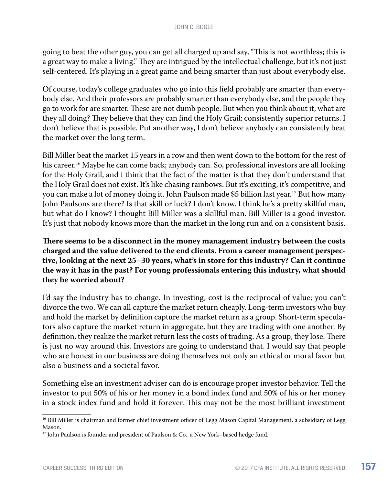going to beat the other guy, you can get all charged up and say, "This is not worthless; this is a great way to make a living." They are intrigued by the intellectual challenge, but it's not just self-centered. It's playing in a great game and being smarter than just about everybody else.

Of course, today's college graduates who go into this field probably are smarter than everybody else. And their professors are probably smarter than everybody else, and the people they go to work for are smarter. These are not dumb people. But when you think about it, what are they all doing? They believe that they can find the Holy Grail: consistently superior returns. I don't believe that is possible. Put another way, I don't believe anybody can consistently beat the market over the long term.

Bill Miller beat the market 15 years in a row and then went down to the bottom for the rest of his career.<sup>16</sup> Maybe he can come back; anybody can. So, professional investors are all looking for the Holy Grail, and I think that the fact of the matter is that they don't understand that the Holy Grail does not exist. It's like chasing rainbows. But it's exciting, it's competitive, and you can make a lot of money doing it. John Paulson made \$5 billion last year.17 But how many John Paulsons are there? Is that skill or luck? I don't know. I think he's a pretty skillful man, but what do I know? I thought Bill Miller was a skillful man. Bill Miller is a good investor. It's just that nobody knows more than the market in the long run and on a consistent basis.

**There seems to be a disconnect in the money management industry between the costs charged and the value delivered to the end clients. From a career management perspective, looking at the next 25–30 years, what's in store for this industry? Can it continue the way it has in the past? For young professionals entering this industry, what should they be worried about?**

I'd say the industry has to change. In investing, cost is the reciprocal of value; you can't divorce the two. We can all capture the market return cheaply. Long-term investors who buy and hold the market by definition capture the market return as a group. Short-term speculators also capture the market return in aggregate, but they are trading with one another. By definition, they realize the market return less the costs of trading. As a group, they lose. There is just no way around this. Investors are going to understand that. I would say that people who are honest in our business are doing themselves not only an ethical or moral favor but also a business and a societal favor.

Something else an investment adviser can do is encourage proper investor behavior. Tell the investor to put 50% of his or her money in a bond index fund and 50% of his or her money in a stock index fund and hold it forever. This may not be the most brilliant investment

<sup>&</sup>lt;sup>16</sup> Bill Miller is chairman and former chief investment officer of Legg Mason Capital Management, a subsidiary of Legg Mason.

<sup>&</sup>lt;sup>17</sup> John Paulson is founder and president of Paulson & Co., a New York–based hedge fund.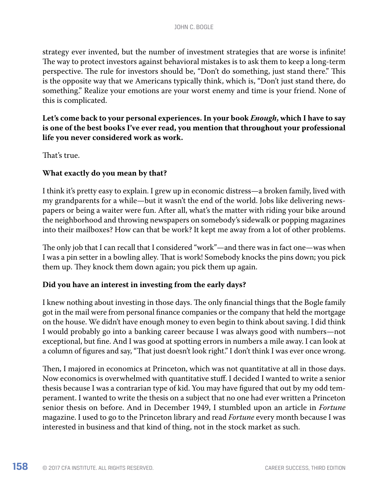strategy ever invented, but the number of investment strategies that are worse is infinite! The way to protect investors against behavioral mistakes is to ask them to keep a long-term perspective. The rule for investors should be, "Don't do something, just stand there." This is the opposite way that we Americans typically think, which is, "Don't just stand there, do something." Realize your emotions are your worst enemy and time is your friend. None of this is complicated.

## **Let's come back to your personal experiences. In your book** *Enough***, which I have to say is one of the best books I've ever read, you mention that throughout your professional life you never considered work as work.**

That's true.

#### **What exactly do you mean by that?**

I think it's pretty easy to explain. I grew up in economic distress—a broken family, lived with my grandparents for a while—but it wasn't the end of the world. Jobs like delivering newspapers or being a waiter were fun. After all, what's the matter with riding your bike around the neighborhood and throwing newspapers on somebody's sidewalk or popping magazines into their mailboxes? How can that be work? It kept me away from a lot of other problems.

The only job that I can recall that I considered "work"—and there was in fact one—was when I was a pin setter in a bowling alley. That is work! Somebody knocks the pins down; you pick them up. They knock them down again; you pick them up again.

## **Did you have an interest in investing from the early days?**

I knew nothing about investing in those days. The only financial things that the Bogle family got in the mail were from personal finance companies or the company that held the mortgage on the house. We didn't have enough money to even begin to think about saving. I did think I would probably go into a banking career because I was always good with numbers—not exceptional, but fine. And I was good at spotting errors in numbers a mile away. I can look at a column of figures and say, "That just doesn't look right." I don't think I was ever once wrong.

Then, I majored in economics at Princeton, which was not quantitative at all in those days. Now economics is overwhelmed with quantitative stuff. I decided I wanted to write a senior thesis because I was a contrarian type of kid. You may have figured that out by my odd temperament. I wanted to write the thesis on a subject that no one had ever written a Princeton senior thesis on before. And in December 1949, I stumbled upon an article in *Fortune*  magazine. I used to go to the Princeton library and read *Fortune* every month because I was interested in business and that kind of thing, not in the stock market as such.